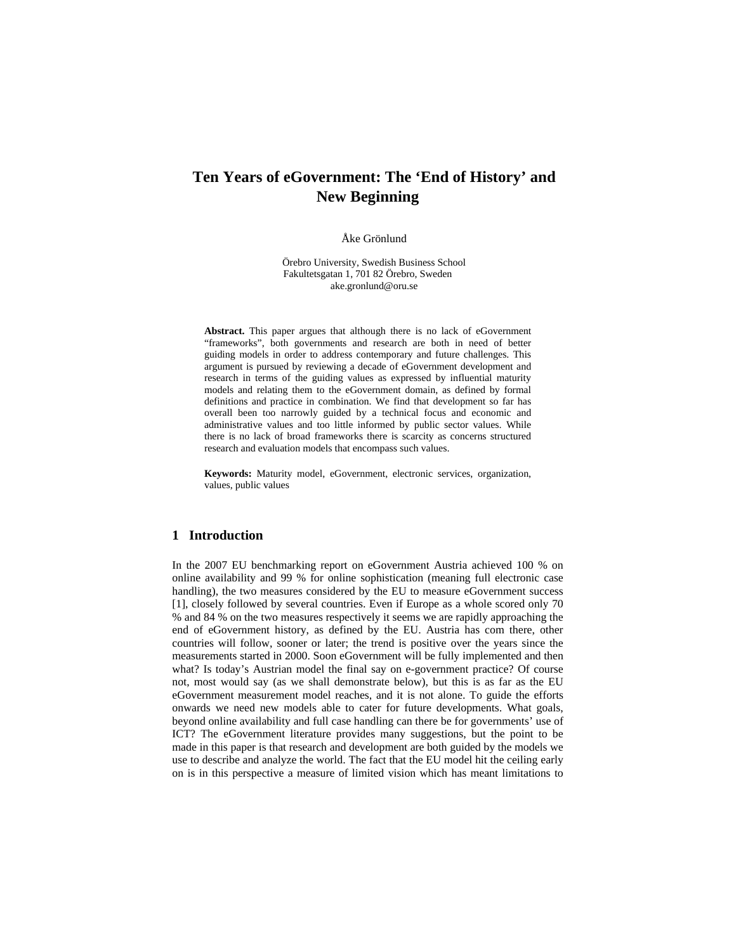# **Ten Years of eGovernment: The 'End of History' and New Beginning**

Åke Grönlund

Örebro University, Swedish Business School Fakultetsgatan 1, 701 82 Örebro, Sweden ake.gronlund@oru.se

**Abstract.** This paper argues that although there is no lack of eGovernment "frameworks", both governments and research are both in need of better guiding models in order to address contemporary and future challenges. This argument is pursued by reviewing a decade of eGovernment development and research in terms of the guiding values as expressed by influential maturity models and relating them to the eGovernment domain, as defined by formal definitions and practice in combination. We find that development so far has overall been too narrowly guided by a technical focus and economic and administrative values and too little informed by public sector values. While there is no lack of broad frameworks there is scarcity as concerns structured research and evaluation models that encompass such values.

**Keywords:** Maturity model, eGovernment, electronic services, organization, values, public values

# **1 Introduction**

In the 2007 EU benchmarking report on eGovernment Austria achieved 100 % on online availability and 99 % for online sophistication (meaning full electronic case handling), the two measures considered by the EU to measure eGovernment success [1], closely followed by several countries. Even if Europe as a whole scored only 70 % and 84 % on the two measures respectively it seems we are rapidly approaching the end of eGovernment history, as defined by the EU. Austria has com there, other countries will follow, sooner or later; the trend is positive over the years since the measurements started in 2000. Soon eGovernment will be fully implemented and then what? Is today's Austrian model the final say on e-government practice? Of course not, most would say (as we shall demonstrate below), but this is as far as the EU eGovernment measurement model reaches, and it is not alone. To guide the efforts onwards we need new models able to cater for future developments. What goals, beyond online availability and full case handling can there be for governments' use of ICT? The eGovernment literature provides many suggestions, but the point to be made in this paper is that research and development are both guided by the models we use to describe and analyze the world. The fact that the EU model hit the ceiling early on is in this perspective a measure of limited vision which has meant limitations to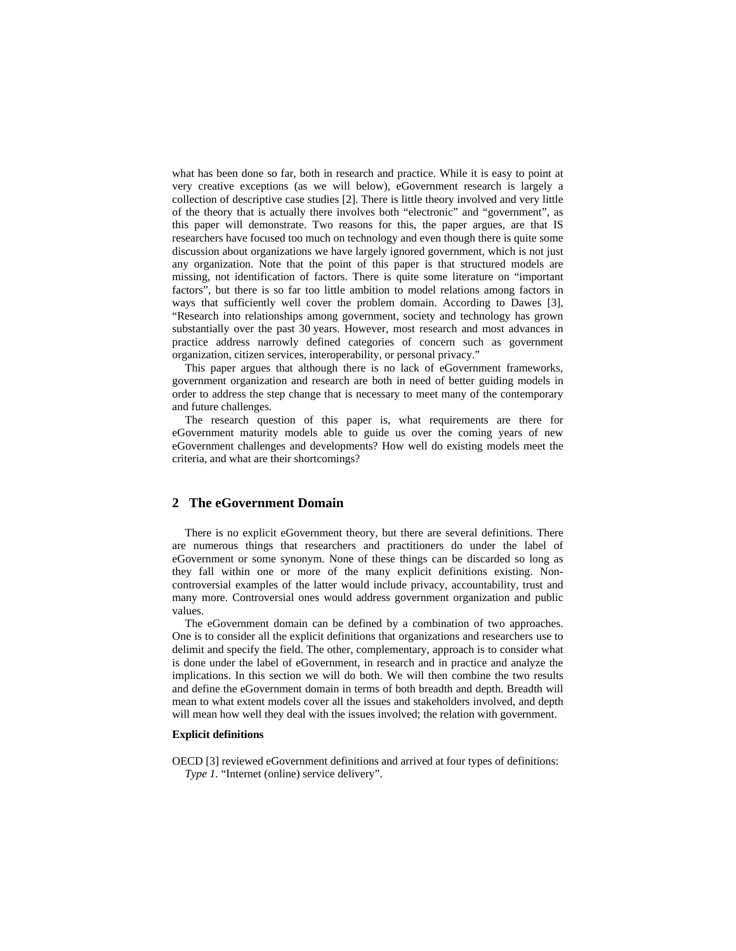what has been done so far, both in research and practice. While it is easy to point at very creative exceptions (as we will below), eGovernment research is largely a collection of descriptive case studies [2]. There is little theory involved and very little of the theory that is actually there involves both "electronic" and "government", as this paper will demonstrate. Two reasons for this, the paper argues, are that IS researchers have focused too much on technology and even though there is quite some discussion about organizations we have largely ignored government, which is not just any organization. Note that the point of this paper is that structured models are missing, not identification of factors. There is quite some literature on "important factors", but there is so far too little ambition to model relations among factors in ways that sufficiently well cover the problem domain. According to Dawes [3], "Research into relationships among government, society and technology has grown substantially over the past 30 years. However, most research and most advances in practice address narrowly defined categories of concern such as government organization, citizen services, interoperability, or personal privacy."

This paper argues that although there is no lack of eGovernment frameworks, government organization and research are both in need of better guiding models in order to address the step change that is necessary to meet many of the contemporary and future challenges.

The research question of this paper is, what requirements are there for eGovernment maturity models able to guide us over the coming years of new eGovernment challenges and developments? How well do existing models meet the criteria, and what are their shortcomings?

## **2 The eGovernment Domain**

There is no explicit eGovernment theory, but there are several definitions. There are numerous things that researchers and practitioners do under the label of eGovernment or some synonym. None of these things can be discarded so long as they fall within one or more of the many explicit definitions existing. Noncontroversial examples of the latter would include privacy, accountability, trust and many more. Controversial ones would address government organization and public values.

The eGovernment domain can be defined by a combination of two approaches. One is to consider all the explicit definitions that organizations and researchers use to delimit and specify the field. The other, complementary, approach is to consider what is done under the label of eGovernment, in research and in practice and analyze the implications. In this section we will do both. We will then combine the two results and define the eGovernment domain in terms of both breadth and depth. Breadth will mean to what extent models cover all the issues and stakeholders involved, and depth will mean how well they deal with the issues involved; the relation with government.

#### **Explicit definitions**

OECD [3] reviewed eGovernment definitions and arrived at four types of definitions: *Type 1.* "Internet (online) service delivery".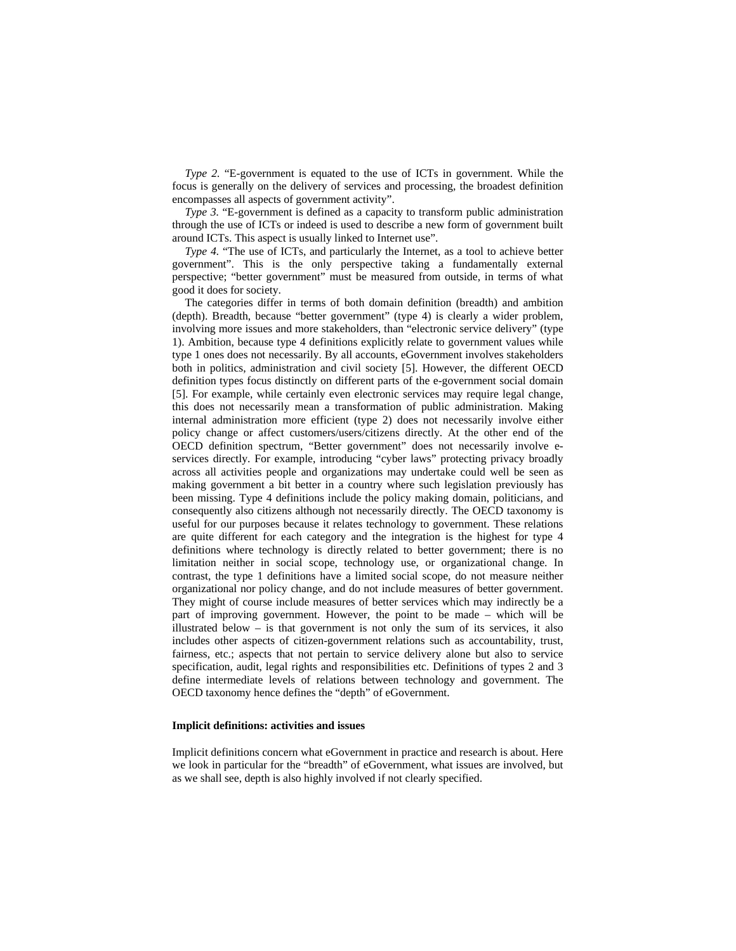*Type 2.* "E-government is equated to the use of ICTs in government. While the focus is generally on the delivery of services and processing, the broadest definition encompasses all aspects of government activity".

*Type 3.* "E-government is defined as a capacity to transform public administration through the use of ICTs or indeed is used to describe a new form of government built around ICTs. This aspect is usually linked to Internet use".

*Type 4.* "The use of ICTs, and particularly the Internet, as a tool to achieve better government". This is the only perspective taking a fundamentally external perspective; "better government" must be measured from outside, in terms of what good it does for society.

The categories differ in terms of both domain definition (breadth) and ambition (depth). Breadth, because "better government" (type 4) is clearly a wider problem, involving more issues and more stakeholders, than "electronic service delivery" (type 1). Ambition, because type 4 definitions explicitly relate to government values while type 1 ones does not necessarily. By all accounts, eGovernment involves stakeholders both in politics, administration and civil society [5]. However, the different OECD definition types focus distinctly on different parts of the e-government social domain [5]. For example, while certainly even electronic services may require legal change, this does not necessarily mean a transformation of public administration. Making internal administration more efficient (type 2) does not necessarily involve either policy change or affect customers/users/citizens directly. At the other end of the OECD definition spectrum, "Better government" does not necessarily involve eservices directly. For example, introducing "cyber laws" protecting privacy broadly across all activities people and organizations may undertake could well be seen as making government a bit better in a country where such legislation previously has been missing. Type 4 definitions include the policy making domain, politicians, and consequently also citizens although not necessarily directly. The OECD taxonomy is useful for our purposes because it relates technology to government. These relations are quite different for each category and the integration is the highest for type 4 definitions where technology is directly related to better government; there is no limitation neither in social scope, technology use, or organizational change. In contrast, the type 1 definitions have a limited social scope, do not measure neither organizational nor policy change, and do not include measures of better government. They might of course include measures of better services which may indirectly be a part of improving government. However, the point to be made – which will be illustrated below – is that government is not only the sum of its services, it also includes other aspects of citizen-government relations such as accountability, trust, fairness, etc.; aspects that not pertain to service delivery alone but also to service specification, audit, legal rights and responsibilities etc. Definitions of types 2 and 3 define intermediate levels of relations between technology and government. The OECD taxonomy hence defines the "depth" of eGovernment.

#### **Implicit definitions: activities and issues**

Implicit definitions concern what eGovernment in practice and research is about. Here we look in particular for the "breadth" of eGovernment, what issues are involved, but as we shall see, depth is also highly involved if not clearly specified.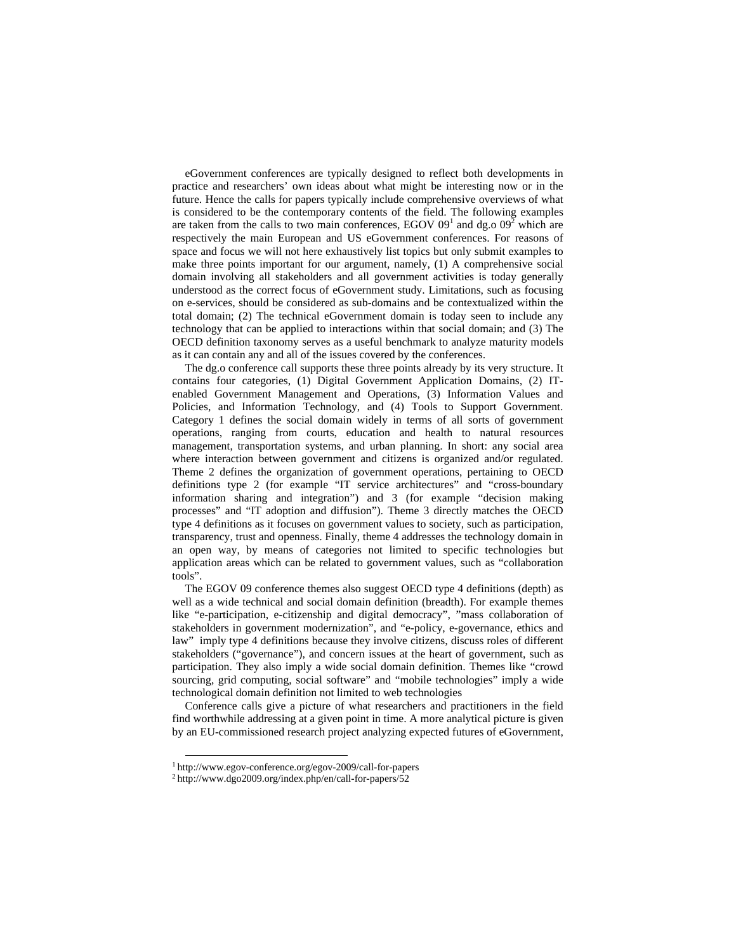eGovernment conferences are typically designed to reflect both developments in practice and researchers' own ideas about what might be interesting now or in the future. Hence the calls for papers typically include comprehensive overviews of what is considered to be the contemporary contents of the field. The following examples are taken from the calls to two main conferences, EGOV  $09<sup>1</sup>$  and dg.o  $09<sup>2</sup>$  which are respectively the main European and US eGovernment conferences. For reasons of space and focus we will not here exhaustively list topics but only submit examples to make three points important for our argument, namely, (1) A comprehensive social domain involving all stakeholders and all government activities is today generally understood as the correct focus of eGovernment study. Limitations, such as focusing on e-services, should be considered as sub-domains and be contextualized within the total domain; (2) The technical eGovernment domain is today seen to include any technology that can be applied to interactions within that social domain; and (3) The OECD definition taxonomy serves as a useful benchmark to analyze maturity models as it can contain any and all of the issues covered by the conferences.

The dg.o conference call supports these three points already by its very structure. It contains four categories, (1) Digital Government Application Domains, (2) ITenabled Government Management and Operations, (3) Information Values and Policies, and Information Technology, and (4) Tools to Support Government. Category 1 defines the social domain widely in terms of all sorts of government operations, ranging from courts, education and health to natural resources management, transportation systems, and urban planning. In short: any social area where interaction between government and citizens is organized and/or regulated. Theme 2 defines the organization of government operations, pertaining to OECD definitions type 2 (for example "IT service architectures" and "cross-boundary information sharing and integration") and 3 (for example "decision making processes" and "IT adoption and diffusion"). Theme 3 directly matches the OECD type 4 definitions as it focuses on government values to society, such as participation, transparency, trust and openness. Finally, theme 4 addresses the technology domain in an open way, by means of categories not limited to specific technologies but application areas which can be related to government values, such as "collaboration tools".

The EGOV 09 conference themes also suggest OECD type 4 definitions (depth) as well as a wide technical and social domain definition (breadth). For example themes like "e-participation, e-citizenship and digital democracy", "mass collaboration of stakeholders in government modernization", and "e-policy, e-governance, ethics and law" imply type 4 definitions because they involve citizens, discuss roles of different stakeholders ("governance"), and concern issues at the heart of government, such as participation. They also imply a wide social domain definition. Themes like "crowd sourcing, grid computing, social software" and "mobile technologies" imply a wide technological domain definition not limited to web technologies

Conference calls give a picture of what researchers and practitioners in the field find worthwhile addressing at a given point in time. A more analytical picture is given by an EU-commissioned research project analyzing expected futures of eGovernment,

 <sup>1</sup> http://www.egov-conference.org/egov-2009/call-for-papers 2 http://www.dgo2009.org/index.php/en/call-for-papers/52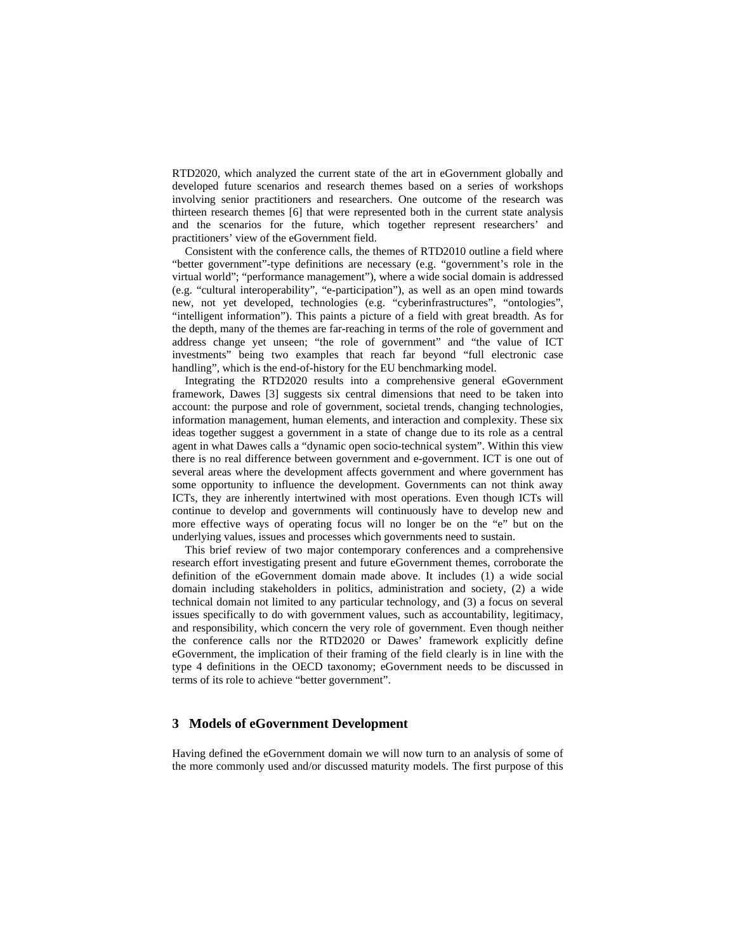RTD2020, which analyzed the current state of the art in eGovernment globally and developed future scenarios and research themes based on a series of workshops involving senior practitioners and researchers. One outcome of the research was thirteen research themes [6] that were represented both in the current state analysis and the scenarios for the future, which together represent researchers' and practitioners' view of the eGovernment field.

Consistent with the conference calls, the themes of RTD2010 outline a field where "better government"-type definitions are necessary (e.g. "government's role in the virtual world"; "performance management"), where a wide social domain is addressed (e.g. "cultural interoperability", "e-participation"), as well as an open mind towards new, not yet developed, technologies (e.g. "cyberinfrastructures", "ontologies", "intelligent information"). This paints a picture of a field with great breadth. As for the depth, many of the themes are far-reaching in terms of the role of government and address change yet unseen; "the role of government" and "the value of ICT investments" being two examples that reach far beyond "full electronic case handling", which is the end-of-history for the EU benchmarking model.

Integrating the RTD2020 results into a comprehensive general eGovernment framework, Dawes [3] suggests six central dimensions that need to be taken into account: the purpose and role of government, societal trends, changing technologies, information management, human elements, and interaction and complexity. These six ideas together suggest a government in a state of change due to its role as a central agent in what Dawes calls a "dynamic open socio-technical system". Within this view there is no real difference between government and e-government. ICT is one out of several areas where the development affects government and where government has some opportunity to influence the development. Governments can not think away ICTs, they are inherently intertwined with most operations. Even though ICTs will continue to develop and governments will continuously have to develop new and more effective ways of operating focus will no longer be on the "e" but on the underlying values, issues and processes which governments need to sustain.

This brief review of two major contemporary conferences and a comprehensive research effort investigating present and future eGovernment themes, corroborate the definition of the eGovernment domain made above. It includes (1) a wide social domain including stakeholders in politics, administration and society, (2) a wide technical domain not limited to any particular technology, and (3) a focus on several issues specifically to do with government values, such as accountability, legitimacy, and responsibility, which concern the very role of government. Even though neither the conference calls nor the RTD2020 or Dawes' framework explicitly define eGovernment, the implication of their framing of the field clearly is in line with the type 4 definitions in the OECD taxonomy; eGovernment needs to be discussed in terms of its role to achieve "better government".

## **3 Models of eGovernment Development**

Having defined the eGovernment domain we will now turn to an analysis of some of the more commonly used and/or discussed maturity models. The first purpose of this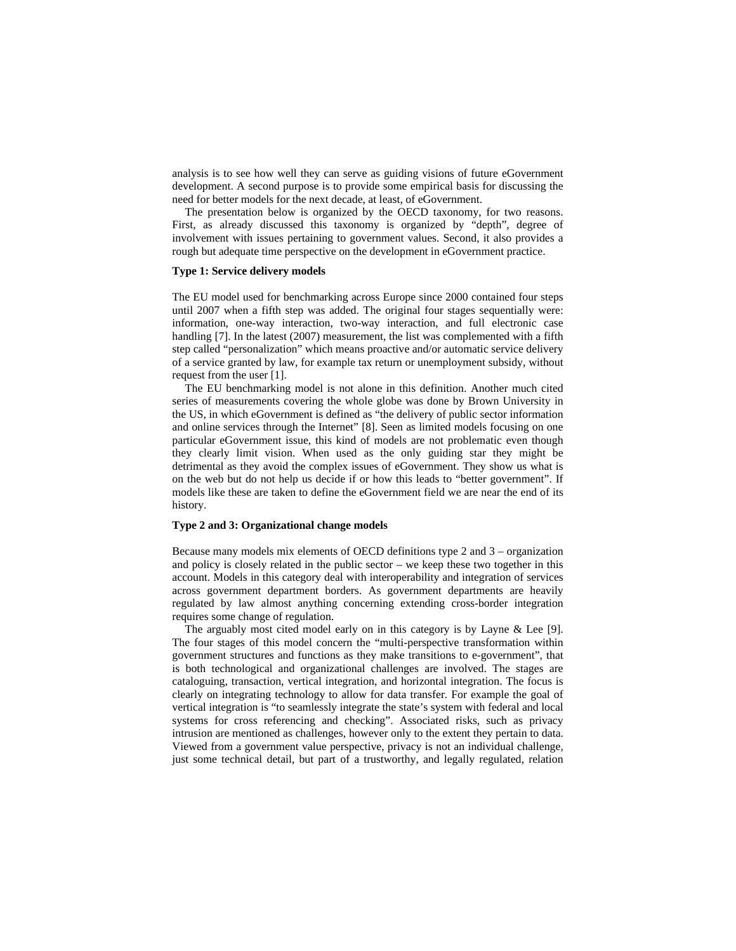analysis is to see how well they can serve as guiding visions of future eGovernment development. A second purpose is to provide some empirical basis for discussing the need for better models for the next decade, at least, of eGovernment.

The presentation below is organized by the OECD taxonomy, for two reasons. First, as already discussed this taxonomy is organized by "depth", degree of involvement with issues pertaining to government values. Second, it also provides a rough but adequate time perspective on the development in eGovernment practice.

### **Type 1: Service delivery models**

The EU model used for benchmarking across Europe since 2000 contained four steps until 2007 when a fifth step was added. The original four stages sequentially were: information, one-way interaction, two-way interaction, and full electronic case handling [7]. In the latest (2007) measurement, the list was complemented with a fifth step called "personalization" which means proactive and/or automatic service delivery of a service granted by law, for example tax return or unemployment subsidy, without request from the user [1].

The EU benchmarking model is not alone in this definition. Another much cited series of measurements covering the whole globe was done by Brown University in the US, in which eGovernment is defined as "the delivery of public sector information and online services through the Internet" [8]. Seen as limited models focusing on one particular eGovernment issue, this kind of models are not problematic even though they clearly limit vision. When used as the only guiding star they might be detrimental as they avoid the complex issues of eGovernment. They show us what is on the web but do not help us decide if or how this leads to "better government". If models like these are taken to define the eGovernment field we are near the end of its history.

#### **Type 2 and 3: Organizational change models**

Because many models mix elements of OECD definitions type 2 and 3 – organization and policy is closely related in the public sector – we keep these two together in this account. Models in this category deal with interoperability and integration of services across government department borders. As government departments are heavily regulated by law almost anything concerning extending cross-border integration requires some change of regulation.

The arguably most cited model early on in this category is by Layne & Lee [9]. The four stages of this model concern the "multi-perspective transformation within government structures and functions as they make transitions to e-government", that is both technological and organizational challenges are involved. The stages are cataloguing, transaction, vertical integration, and horizontal integration. The focus is clearly on integrating technology to allow for data transfer. For example the goal of vertical integration is "to seamlessly integrate the state's system with federal and local systems for cross referencing and checking". Associated risks, such as privacy intrusion are mentioned as challenges, however only to the extent they pertain to data. Viewed from a government value perspective, privacy is not an individual challenge, just some technical detail, but part of a trustworthy, and legally regulated, relation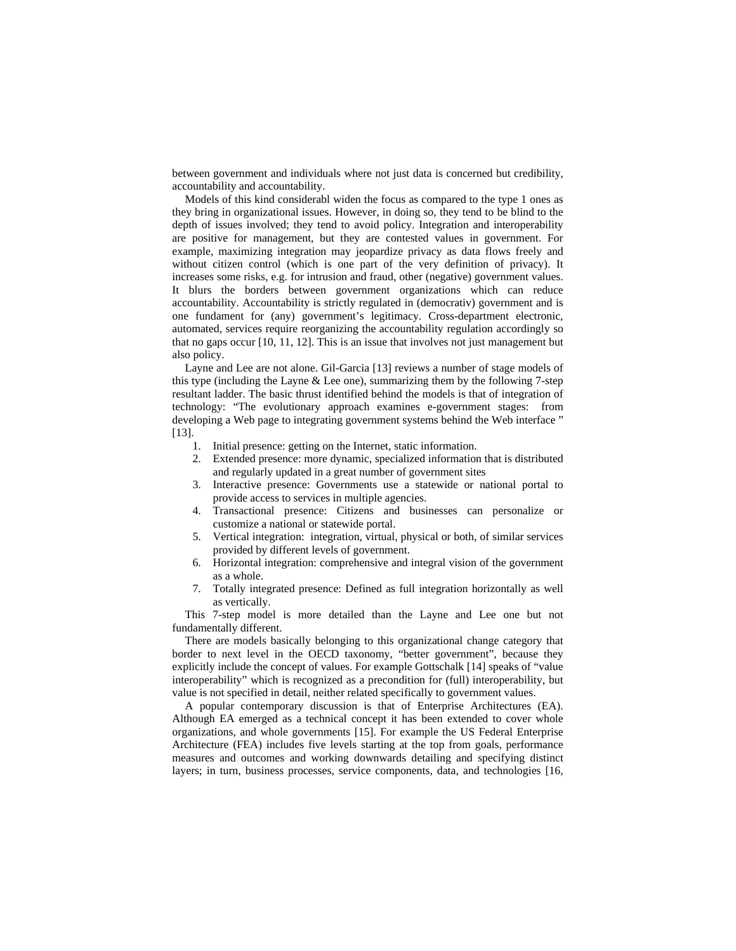between government and individuals where not just data is concerned but credibility, accountability and accountability.

Models of this kind considerabl widen the focus as compared to the type 1 ones as they bring in organizational issues. However, in doing so, they tend to be blind to the depth of issues involved; they tend to avoid policy. Integration and interoperability are positive for management, but they are contested values in government. For example, maximizing integration may jeopardize privacy as data flows freely and without citizen control (which is one part of the very definition of privacy). It increases some risks, e.g. for intrusion and fraud, other (negative) government values. It blurs the borders between government organizations which can reduce accountability. Accountability is strictly regulated in (democrativ) government and is one fundament for (any) government's legitimacy. Cross-department electronic, automated, services require reorganizing the accountability regulation accordingly so that no gaps occur [10, 11, 12]. This is an issue that involves not just management but also policy.

Layne and Lee are not alone. Gil-Garcia [13] reviews a number of stage models of this type (including the Layne  $\&$  Lee one), summarizing them by the following 7-step resultant ladder. The basic thrust identified behind the models is that of integration of technology: "The evolutionary approach examines e-government stages: from developing a Web page to integrating government systems behind the Web interface " [13].

- 1. Initial presence: getting on the Internet, static information.
- 2. Extended presence: more dynamic, specialized information that is distributed and regularly updated in a great number of government sites
- 3. Interactive presence: Governments use a statewide or national portal to provide access to services in multiple agencies.
- 4. Transactional presence: Citizens and businesses can personalize or customize a national or statewide portal.
- 5. Vertical integration: integration, virtual, physical or both, of similar services provided by different levels of government.
- 6. Horizontal integration: comprehensive and integral vision of the government as a whole.
- 7. Totally integrated presence: Defined as full integration horizontally as well as vertically.

This 7-step model is more detailed than the Layne and Lee one but not fundamentally different.

There are models basically belonging to this organizational change category that border to next level in the OECD taxonomy, "better government", because they explicitly include the concept of values. For example Gottschalk [14] speaks of "value interoperability" which is recognized as a precondition for (full) interoperability, but value is not specified in detail, neither related specifically to government values.

A popular contemporary discussion is that of Enterprise Architectures (EA). Although EA emerged as a technical concept it has been extended to cover whole organizations, and whole governments [15]. For example the US Federal Enterprise Architecture (FEA) includes five levels starting at the top from goals, performance measures and outcomes and working downwards detailing and specifying distinct layers; in turn, business processes, service components, data, and technologies [16,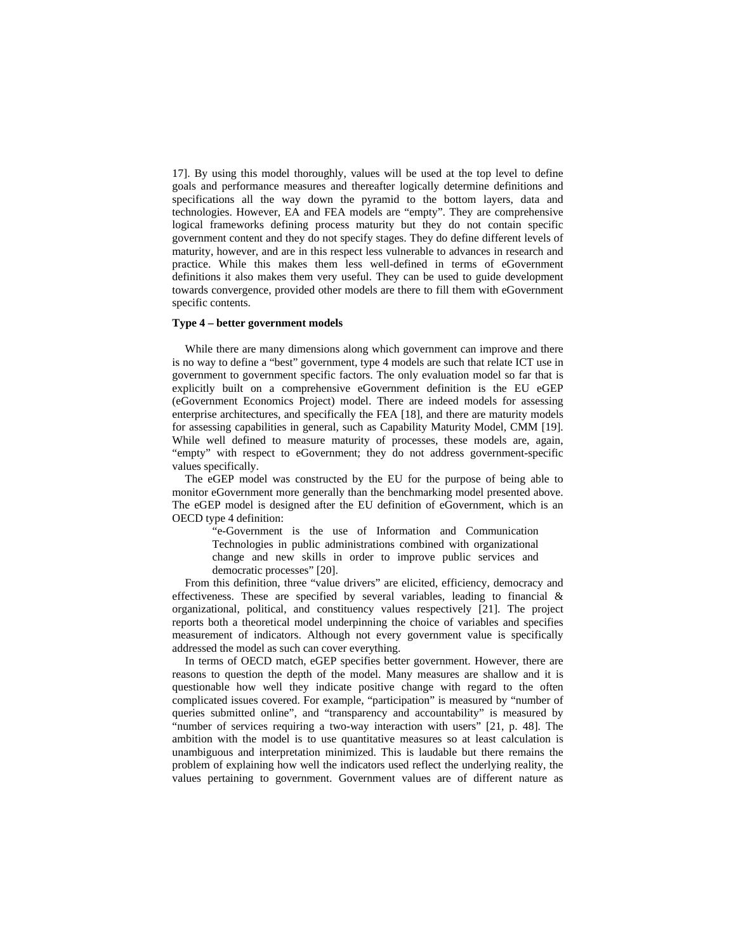17]. By using this model thoroughly, values will be used at the top level to define goals and performance measures and thereafter logically determine definitions and specifications all the way down the pyramid to the bottom layers, data and technologies. However, EA and FEA models are "empty". They are comprehensive logical frameworks defining process maturity but they do not contain specific government content and they do not specify stages. They do define different levels of maturity, however, and are in this respect less vulnerable to advances in research and practice. While this makes them less well-defined in terms of eGovernment definitions it also makes them very useful. They can be used to guide development towards convergence, provided other models are there to fill them with eGovernment specific contents.

### **Type 4 – better government models**

While there are many dimensions along which government can improve and there is no way to define a "best" government, type 4 models are such that relate ICT use in government to government specific factors. The only evaluation model so far that is explicitly built on a comprehensive eGovernment definition is the EU eGEP (eGovernment Economics Project) model. There are indeed models for assessing enterprise architectures, and specifically the FEA [18], and there are maturity models for assessing capabilities in general, such as Capability Maturity Model, CMM [19]. While well defined to measure maturity of processes, these models are, again, "empty" with respect to eGovernment; they do not address government-specific values specifically.

The eGEP model was constructed by the EU for the purpose of being able to monitor eGovernment more generally than the benchmarking model presented above. The eGEP model is designed after the EU definition of eGovernment, which is an OECD type 4 definition:

> "e-Government is the use of Information and Communication Technologies in public administrations combined with organizational change and new skills in order to improve public services and democratic processes" [20].

From this definition, three "value drivers" are elicited, efficiency, democracy and effectiveness. These are specified by several variables, leading to financial  $\&$ organizational, political, and constituency values respectively [21]. The project reports both a theoretical model underpinning the choice of variables and specifies measurement of indicators. Although not every government value is specifically addressed the model as such can cover everything.

In terms of OECD match, eGEP specifies better government. However, there are reasons to question the depth of the model. Many measures are shallow and it is questionable how well they indicate positive change with regard to the often complicated issues covered. For example, "participation" is measured by "number of queries submitted online", and "transparency and accountability" is measured by "number of services requiring a two-way interaction with users" [21, p. 48]. The ambition with the model is to use quantitative measures so at least calculation is unambiguous and interpretation minimized. This is laudable but there remains the problem of explaining how well the indicators used reflect the underlying reality, the values pertaining to government. Government values are of different nature as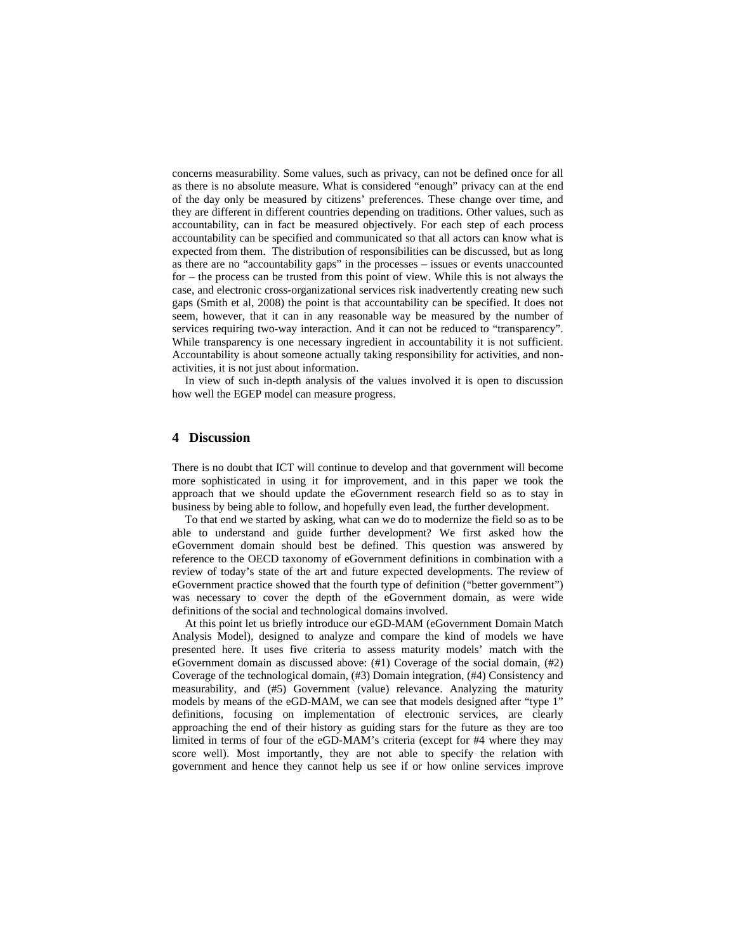concerns measurability. Some values, such as privacy, can not be defined once for all as there is no absolute measure. What is considered "enough" privacy can at the end of the day only be measured by citizens' preferences. These change over time, and they are different in different countries depending on traditions. Other values, such as accountability, can in fact be measured objectively. For each step of each process accountability can be specified and communicated so that all actors can know what is expected from them. The distribution of responsibilities can be discussed, but as long as there are no "accountability gaps" in the processes – issues or events unaccounted for – the process can be trusted from this point of view. While this is not always the case, and electronic cross-organizational services risk inadvertently creating new such gaps (Smith et al, 2008) the point is that accountability can be specified. It does not seem, however, that it can in any reasonable way be measured by the number of services requiring two-way interaction. And it can not be reduced to "transparency". While transparency is one necessary ingredient in accountability it is not sufficient. Accountability is about someone actually taking responsibility for activities, and nonactivities, it is not just about information.

In view of such in-depth analysis of the values involved it is open to discussion how well the EGEP model can measure progress.

## **4 Discussion**

There is no doubt that ICT will continue to develop and that government will become more sophisticated in using it for improvement, and in this paper we took the approach that we should update the eGovernment research field so as to stay in business by being able to follow, and hopefully even lead, the further development.

To that end we started by asking, what can we do to modernize the field so as to be able to understand and guide further development? We first asked how the eGovernment domain should best be defined. This question was answered by reference to the OECD taxonomy of eGovernment definitions in combination with a review of today's state of the art and future expected developments. The review of eGovernment practice showed that the fourth type of definition ("better government") was necessary to cover the depth of the eGovernment domain, as were wide definitions of the social and technological domains involved.

At this point let us briefly introduce our eGD-MAM (eGovernment Domain Match Analysis Model), designed to analyze and compare the kind of models we have presented here. It uses five criteria to assess maturity models' match with the eGovernment domain as discussed above: (#1) Coverage of the social domain, (#2) Coverage of the technological domain, (#3) Domain integration, (#4) Consistency and measurability, and (#5) Government (value) relevance. Analyzing the maturity models by means of the eGD-MAM, we can see that models designed after "type 1" definitions, focusing on implementation of electronic services, are clearly approaching the end of their history as guiding stars for the future as they are too limited in terms of four of the eGD-MAM's criteria (except for #4 where they may score well). Most importantly, they are not able to specify the relation with government and hence they cannot help us see if or how online services improve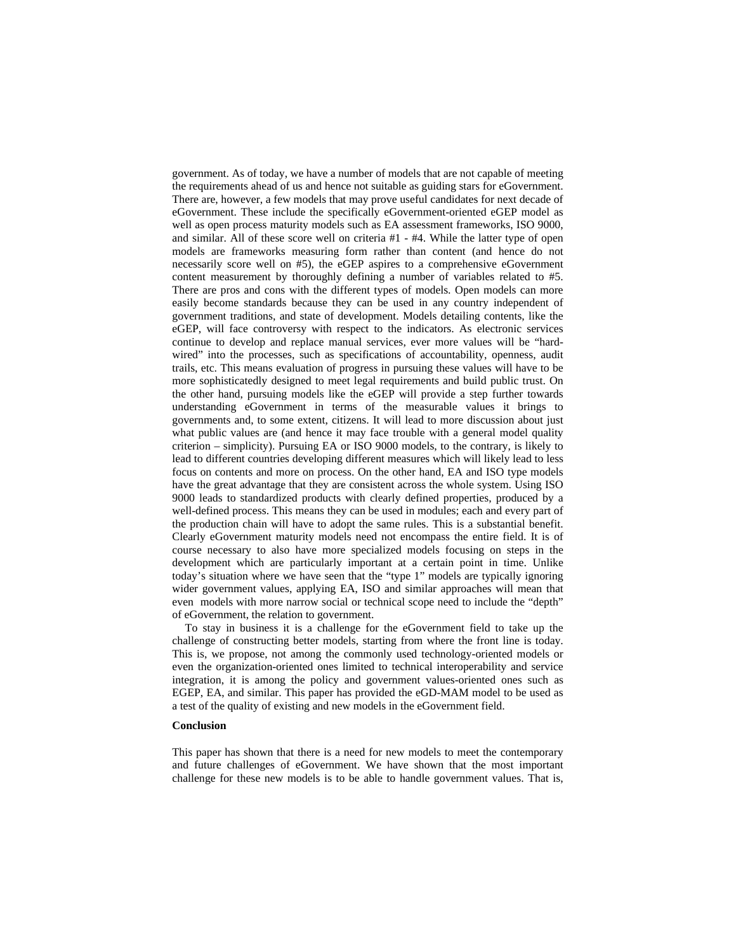government. As of today, we have a number of models that are not capable of meeting the requirements ahead of us and hence not suitable as guiding stars for eGovernment. There are, however, a few models that may prove useful candidates for next decade of eGovernment. These include the specifically eGovernment-oriented eGEP model as well as open process maturity models such as EA assessment frameworks, ISO 9000, and similar. All of these score well on criteria #1 - #4. While the latter type of open models are frameworks measuring form rather than content (and hence do not necessarily score well on #5), the eGEP aspires to a comprehensive eGovernment content measurement by thoroughly defining a number of variables related to #5. There are pros and cons with the different types of models. Open models can more easily become standards because they can be used in any country independent of government traditions, and state of development. Models detailing contents, like the eGEP, will face controversy with respect to the indicators. As electronic services continue to develop and replace manual services, ever more values will be "hardwired" into the processes, such as specifications of accountability, openness, audit trails, etc. This means evaluation of progress in pursuing these values will have to be more sophisticatedly designed to meet legal requirements and build public trust. On the other hand, pursuing models like the eGEP will provide a step further towards understanding eGovernment in terms of the measurable values it brings to governments and, to some extent, citizens. It will lead to more discussion about just what public values are (and hence it may face trouble with a general model quality criterion – simplicity). Pursuing EA or ISO 9000 models, to the contrary, is likely to lead to different countries developing different measures which will likely lead to less focus on contents and more on process. On the other hand, EA and ISO type models have the great advantage that they are consistent across the whole system. Using ISO 9000 leads to standardized products with clearly defined properties, produced by a well-defined process. This means they can be used in modules; each and every part of the production chain will have to adopt the same rules. This is a substantial benefit. Clearly eGovernment maturity models need not encompass the entire field. It is of course necessary to also have more specialized models focusing on steps in the development which are particularly important at a certain point in time. Unlike today's situation where we have seen that the "type 1" models are typically ignoring wider government values, applying EA, ISO and similar approaches will mean that even models with more narrow social or technical scope need to include the "depth" of eGovernment, the relation to government.

To stay in business it is a challenge for the eGovernment field to take up the challenge of constructing better models, starting from where the front line is today. This is, we propose, not among the commonly used technology-oriented models or even the organization-oriented ones limited to technical interoperability and service integration, it is among the policy and government values-oriented ones such as EGEP, EA, and similar. This paper has provided the eGD-MAM model to be used as a test of the quality of existing and new models in the eGovernment field.

#### **Conclusion**

This paper has shown that there is a need for new models to meet the contemporary and future challenges of eGovernment. We have shown that the most important challenge for these new models is to be able to handle government values. That is,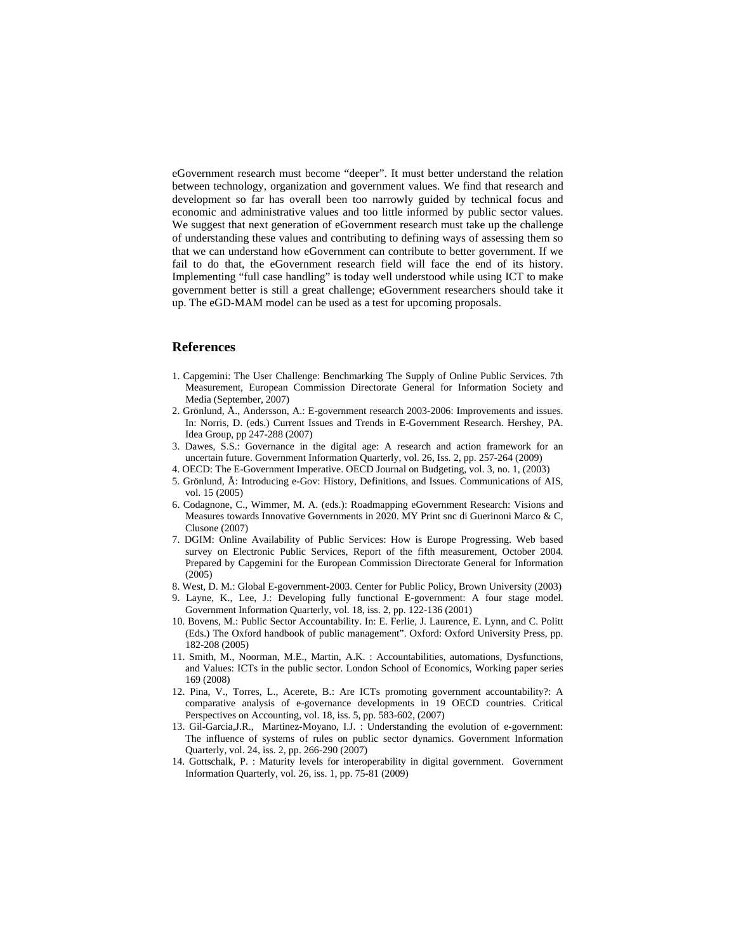eGovernment research must become "deeper". It must better understand the relation between technology, organization and government values. We find that research and development so far has overall been too narrowly guided by technical focus and economic and administrative values and too little informed by public sector values. We suggest that next generation of eGovernment research must take up the challenge of understanding these values and contributing to defining ways of assessing them so that we can understand how eGovernment can contribute to better government. If we fail to do that, the eGovernment research field will face the end of its history. Implementing "full case handling" is today well understood while using ICT to make government better is still a great challenge; eGovernment researchers should take it up. The eGD-MAM model can be used as a test for upcoming proposals.

## **References**

- 1. Capgemini: The User Challenge: Benchmarking The Supply of Online Public Services. 7th Measurement, European Commission Directorate General for Information Society and Media (September, 2007)
- 2. Grönlund, Å., Andersson, A.: E-government research 2003-2006: Improvements and issues. In: Norris, D. (eds.) Current Issues and Trends in E-Government Research. Hershey, PA. Idea Group, pp 247-288 (2007)
- 3. Dawes, S.S.: Governance in the digital age: A research and action framework for an uncertain future. Government Information Quarterly, vol. 26, Iss. 2, pp. 257-264 (2009)
- 4. OECD: The E-Government Imperative. OECD Journal on Budgeting, vol. 3, no. 1, (2003)
- 5. Grönlund, Å: Introducing e-Gov: History, Definitions, and Issues. Communications of AIS, vol. 15 (2005)
- 6. Codagnone, C., Wimmer, M. A. (eds.): Roadmapping eGovernment Research: Visions and Measures towards Innovative Governments in 2020. MY Print snc di Guerinoni Marco & C, Clusone (2007)
- 7. DGIM: Online Availability of Public Services: How is Europe Progressing. Web based survey on Electronic Public Services, Report of the fifth measurement, October 2004. Prepared by Capgemini for the European Commission Directorate General for Information (2005)
- 8. West, D. M.: Global E-government-2003. Center for Public Policy, Brown University (2003)
- 9. Layne, K., Lee, J.: Developing fully functional E-government: A four stage model. Government Information Quarterly, vol. 18, iss. 2, pp. 122-136 (2001)
- 10. Bovens, M.: Public Sector Accountability. In: E. Ferlie, J. Laurence, E. Lynn, and C. Politt (Eds.) The Oxford handbook of public management". Oxford: Oxford University Press, pp. 182-208 (2005)
- 11. Smith, M., Noorman, M.E., Martin, A.K. : Accountabilities, automations, Dysfunctions, and Values: ICTs in the public sector. London School of Economics, Working paper series 169 (2008)
- 12. Pina, V., Torres, L., Acerete, B.: Are ICTs promoting government accountability?: A comparative analysis of e-governance developments in 19 OECD countries. Critical Perspectives on Accounting, vol. 18, iss. 5, pp. 583-602, (2007)
- 13. Gil-Garcia,J.R., Martinez-Moyano, I.J. : Understanding the evolution of e-government: The influence of systems of rules on public sector dynamics. Government Information Quarterly, vol. 24, iss. 2, pp. 266-290 (2007)
- 14. Gottschalk, P. : Maturity levels for interoperability in digital government. Government Information Quarterly, vol. 26, iss. 1, pp. 75-81 (2009)